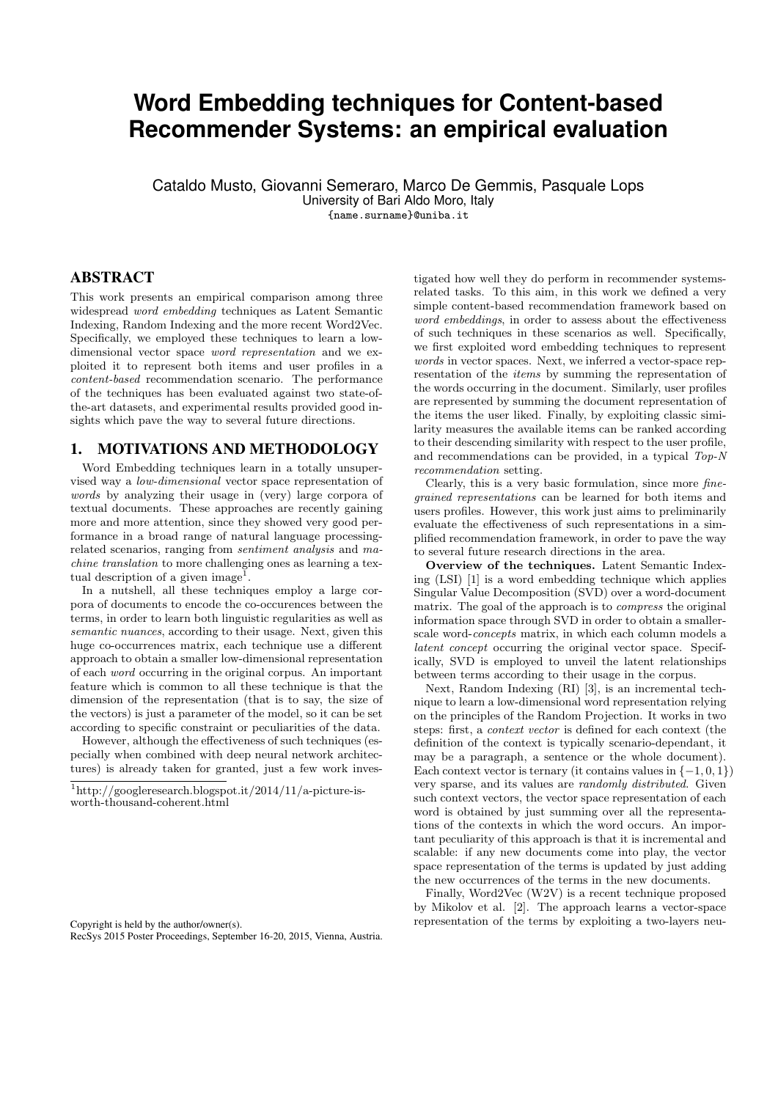# **Word Embedding techniques for Content-based Recommender Systems: an empirical evaluation**

Cataldo Musto, Giovanni Semeraro, Marco De Gemmis, Pasquale Lops University of Bari Aldo Moro, Italy

{name.surname}@uniba.it

## ABSTRACT

This work presents an empirical comparison among three widespread word embedding techniques as Latent Semantic Indexing, Random Indexing and the more recent Word2Vec. Specifically, we employed these techniques to learn a lowdimensional vector space word representation and we exploited it to represent both items and user profiles in a content-based recommendation scenario. The performance of the techniques has been evaluated against two state-ofthe-art datasets, and experimental results provided good insights which pave the way to several future directions.

# 1. MOTIVATIONS AND METHODOLOGY

Word Embedding techniques learn in a totally unsupervised way a low-dimensional vector space representation of words by analyzing their usage in (very) large corpora of textual documents. These approaches are recently gaining more and more attention, since they showed very good performance in a broad range of natural language processingrelated scenarios, ranging from sentiment analysis and machine translation to more challenging ones as learning a textual description of a given image<sup>1</sup>.

In a nutshell, all these techniques employ a large corpora of documents to encode the co-occurences between the terms, in order to learn both linguistic regularities as well as semantic nuances, according to their usage. Next, given this huge co-occurrences matrix, each technique use a different approach to obtain a smaller low-dimensional representation of each word occurring in the original corpus. An important feature which is common to all these technique is that the dimension of the representation (that is to say, the size of the vectors) is just a parameter of the model, so it can be set according to specific constraint or peculiarities of the data.

However, although the effectiveness of such techniques (especially when combined with deep neural network architectures) is already taken for granted, just a few work inves-

Copyright is held by the author/owner(s). RecSys 2015 Poster Proceedings, September 16-20, 2015, Vienna, Austria.

tigated how well they do perform in recommender systemsrelated tasks. To this aim, in this work we defined a very simple content-based recommendation framework based on word embeddings, in order to assess about the effectiveness of such techniques in these scenarios as well. Specifically, we first exploited word embedding techniques to represent words in vector spaces. Next, we inferred a vector-space representation of the items by summing the representation of the words occurring in the document. Similarly, user profiles are represented by summing the document representation of the items the user liked. Finally, by exploiting classic similarity measures the available items can be ranked according to their descending similarity with respect to the user profile, and recommendations can be provided, in a typical Top-N recommendation setting.

Clearly, this is a very basic formulation, since more finegrained representations can be learned for both items and users profiles. However, this work just aims to preliminarily evaluate the effectiveness of such representations in a simplified recommendation framework, in order to pave the way to several future research directions in the area.

Overview of the techniques. Latent Semantic Indexing (LSI) [1] is a word embedding technique which applies Singular Value Decomposition (SVD) over a word-document matrix. The goal of the approach is to compress the original information space through SVD in order to obtain a smallerscale word-concepts matrix, in which each column models a latent concept occurring the original vector space. Specifically, SVD is employed to unveil the latent relationships between terms according to their usage in the corpus.

Next, Random Indexing (RI) [3], is an incremental technique to learn a low-dimensional word representation relying on the principles of the Random Projection. It works in two steps: first, a context vector is defined for each context (the definition of the context is typically scenario-dependant, it may be a paragraph, a sentence or the whole document). Each context vector is ternary (it contains values in  $\{-1,0,1\}$ ) very sparse, and its values are randomly distributed. Given such context vectors, the vector space representation of each word is obtained by just summing over all the representations of the contexts in which the word occurs. An important peculiarity of this approach is that it is incremental and scalable: if any new documents come into play, the vector space representation of the terms is updated by just adding the new occurrences of the terms in the new documents.

Finally, Word2Vec (W2V) is a recent technique proposed by Mikolov et al. [2]. The approach learns a vector-space representation of the terms by exploiting a two-layers neu-

<sup>1</sup>http://googleresearch.blogspot.it/2014/11/a-picture-isworth-thousand-coherent.html